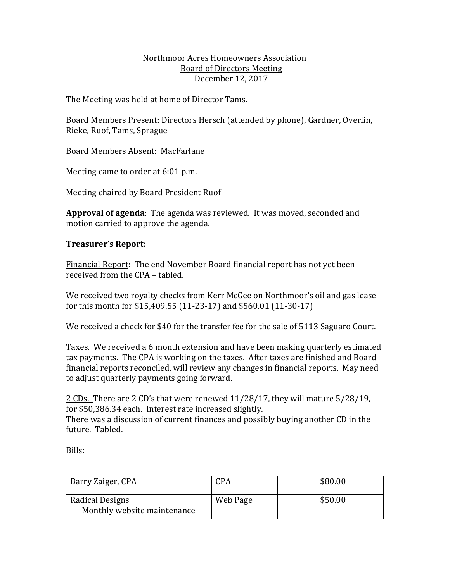### Northmoor Acres Homeowners Association Board of Directors Meeting December 12, 2017

The Meeting was held at home of Director Tams.

Board Members Present: Directors Hersch (attended by phone), Gardner, Overlin, Rieke, Ruof, Tams, Sprague

Board Members Absent: MacFarlane

Meeting came to order at 6:01 p.m.

Meeting chaired by Board President Ruof

Approval of agenda: The agenda was reviewed. It was moved, seconded and motion carried to approve the agenda.

# **Treasurer's Report:**

Financial Report: The end November Board financial report has not yet been received from the CPA - tabled.

We received two royalty checks from Kerr McGee on Northmoor's oil and gas lease for this month for \$15,409.55 (11-23-17) and \$560.01 (11-30-17)

We received a check for \$40 for the transfer fee for the sale of 5113 Saguaro Court.

Taxes. We received a 6 month extension and have been making quarterly estimated tax payments. The CPA is working on the taxes. After taxes are finished and Board financial reports reconciled, will review any changes in financial reports. May need to adjust quarterly payments going forward.

 $2$  CDs. There are 2 CD's that were renewed  $11/28/17$ , they will mature  $5/28/19$ , for \$50,386.34 each. Interest rate increased slightly. There was a discussion of current finances and possibly buying another CD in the future. Tabled.

Bills:

| Barry Zaiger, CPA                              | CPA      | \$80.00 |
|------------------------------------------------|----------|---------|
| Radical Designs<br>Monthly website maintenance | Web Page | \$50.00 |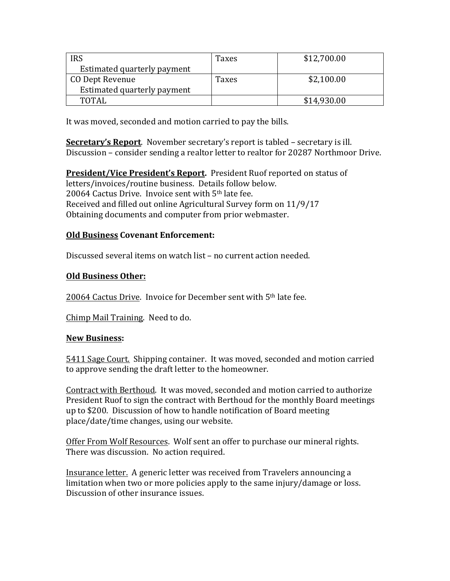| <b>IRS</b>                  | Taxes | \$12,700.00 |
|-----------------------------|-------|-------------|
| Estimated quarterly payment |       |             |
| CO Dept Revenue             | Taxes | \$2,100.00  |
| Estimated quarterly payment |       |             |
| <b>TOTAL</b>                |       | \$14,930.00 |

It was moved, seconded and motion carried to pay the bills.

**Secretary's Report**. November secretary's report is tabled – secretary is ill. Discussion – consider sending a realtor letter to realtor for 20287 Northmoor Drive.

**President/Vice President's Report.** President Ruof reported on status of letters/invoices/routine business. Details follow below. 20064 Cactus Drive. Invoice sent with 5<sup>th</sup> late fee. Received and filled out online Agricultural Survey form on 11/9/17 Obtaining documents and computer from prior webmaster.

# **Old Business Covenant Enforcement:**

Discussed several items on watch list – no current action needed.

# **Old Business Other:**

20064 Cactus Drive. Invoice for December sent with 5<sup>th</sup> late fee.

Chimp Mail Training. Need to do.

### **New Business:**

5411 Sage Court. Shipping container. It was moved, seconded and motion carried to approve sending the draft letter to the homeowner.

Contract with Berthoud. It was moved, seconded and motion carried to authorize President Ruof to sign the contract with Berthoud for the monthly Board meetings up to \$200. Discussion of how to handle notification of Board meeting place/date/time changes, using our website.

Offer From Wolf Resources. Wolf sent an offer to purchase our mineral rights. There was discussion. No action required.

Insurance letter. A generic letter was received from Travelers announcing a limitation when two or more policies apply to the same injury/damage or loss. Discussion of other insurance issues.